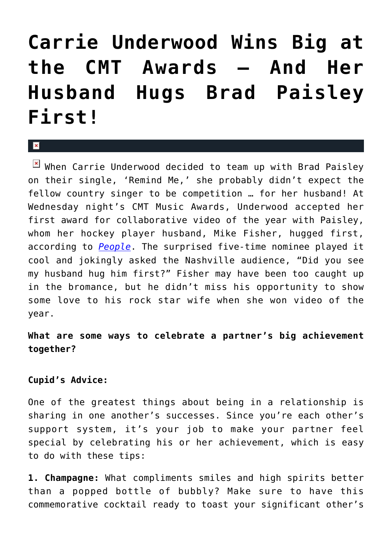## **[Carrie Underwood Wins Big at](https://cupidspulse.com/32731/carrie-underwood-mike-fisher-cmt-awards-husband-hugs-brad-paisley-first/) [the CMT Awards — And Her](https://cupidspulse.com/32731/carrie-underwood-mike-fisher-cmt-awards-husband-hugs-brad-paisley-first/) [Husband Hugs Brad Paisley](https://cupidspulse.com/32731/carrie-underwood-mike-fisher-cmt-awards-husband-hugs-brad-paisley-first/) [First!](https://cupidspulse.com/32731/carrie-underwood-mike-fisher-cmt-awards-husband-hugs-brad-paisley-first/)**

x

 $\boxed{\times}$  When Carrie Underwood decided to team up with Brad Paisley on their single, 'Remind Me,' she probably didn't expect the fellow country singer to be competition … for her husband! At Wednesday night's CMT Music Awards, Underwood accepted her first award for collaborative video of the year with Paisley, whom her hockey player husband, Mike Fisher, hugged first, according to *[People](http://www.people.com/people/package/article/0,,20599448_20601885,00.html)*. The surprised five-time nominee played it cool and jokingly asked the Nashville audience, "Did you see my husband hug him first?" Fisher may have been too caught up in the bromance, but he didn't miss his opportunity to show some love to his rock star wife when she won video of the year.

## **What are some ways to celebrate a partner's big achievement together?**

## **Cupid's Advice:**

One of the greatest things about being in a relationship is sharing in one another's successes. Since you're each other's support system, it's your job to make your partner feel special by celebrating his or her achievement, which is easy to do with these tips:

**1. Champagne:** What compliments smiles and high spirits better than a popped bottle of bubbly? Make sure to have this commemorative cocktail ready to toast your significant other's